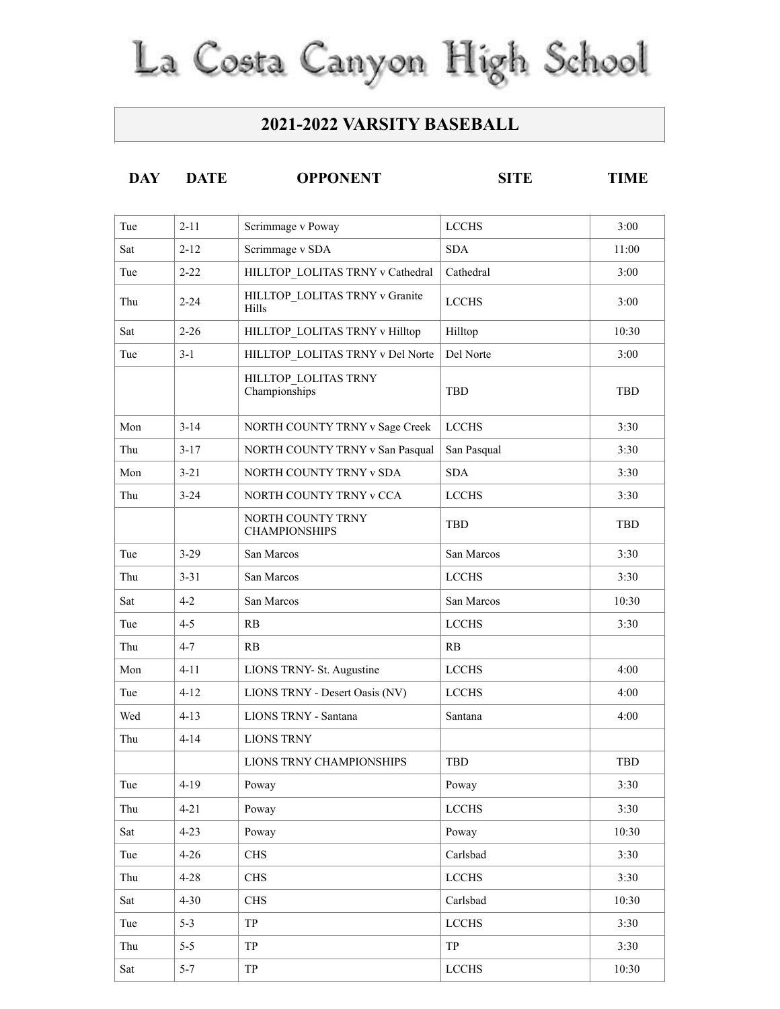## La Costa Canyon High School

## **2021-2022 VARSITY BASEBALL**

| <b>SITE</b><br><b>OPPONENT</b><br><b>DAY</b><br><b>DATE</b><br>TIMF |
|---------------------------------------------------------------------|
|---------------------------------------------------------------------|

| Tue | $2 - 11$ | Scrimmage v Poway                         | <b>LCCHS</b> | 3:00       |
|-----|----------|-------------------------------------------|--------------|------------|
| Sat | $2 - 12$ | Scrimmage v SDA                           | <b>SDA</b>   | 11:00      |
| Tue | $2 - 22$ | HILLTOP LOLITAS TRNY v Cathedral          | Cathedral    | 3:00       |
| Thu | $2 - 24$ | HILLTOP LOLITAS TRNY v Granite<br>Hills   | <b>LCCHS</b> | 3:00       |
| Sat | $2 - 26$ | HILLTOP LOLITAS TRNY v Hilltop            | Hilltop      | 10:30      |
| Tue | $3-1$    | HILLTOP LOLITAS TRNY v Del Norte          | Del Norte    | 3:00       |
|     |          | HILLTOP LOLITAS TRNY<br>Championships     | <b>TBD</b>   | <b>TBD</b> |
| Mon | $3 - 14$ | NORTH COUNTY TRNY v Sage Creek            | <b>LCCHS</b> | 3:30       |
| Thu | $3 - 17$ | NORTH COUNTY TRNY v San Pasqual           | San Pasqual  | 3:30       |
| Mon | $3 - 21$ | NORTH COUNTY TRNY v SDA                   | <b>SDA</b>   | 3:30       |
| Thu | $3 - 24$ | NORTH COUNTY TRNY v CCA                   | <b>LCCHS</b> | 3:30       |
|     |          | NORTH COUNTY TRNY<br><b>CHAMPIONSHIPS</b> | <b>TBD</b>   | TBD        |
| Tue | $3-29$   | San Marcos                                | San Marcos   | 3:30       |
| Thu | $3 - 31$ | San Marcos                                | <b>LCCHS</b> | 3:30       |
| Sat | $4 - 2$  | San Marcos                                | San Marcos   | 10:30      |
| Tue | $4 - 5$  | RB                                        | <b>LCCHS</b> | 3:30       |
| Thu | $4 - 7$  | RB                                        | RB           |            |
| Mon | $4 - 11$ | LIONS TRNY- St. Augustine                 | <b>LCCHS</b> | 4:00       |
| Tue | $4 - 12$ | LIONS TRNY - Desert Oasis (NV)            | <b>LCCHS</b> | 4:00       |
| Wed | $4 - 13$ | <b>LIONS TRNY - Santana</b>               | Santana      | 4:00       |
| Thu | $4 - 14$ | <b>LIONS TRNY</b>                         |              |            |
|     |          | LIONS TRNY CHAMPIONSHIPS                  | <b>TBD</b>   | <b>TBD</b> |
| Tue | $4 - 19$ | Poway                                     | Poway        | 3:30       |
| Thu | $4 - 21$ | Poway                                     | <b>LCCHS</b> | 3:30       |
| Sat | $4 - 23$ | Poway                                     | Poway        | 10:30      |
| Tue | $4 - 26$ | <b>CHS</b>                                | Carlsbad     | 3:30       |
| Thu | $4 - 28$ | <b>CHS</b>                                | <b>LCCHS</b> | 3:30       |
| Sat | $4 - 30$ | <b>CHS</b>                                | Carlsbad     | 10:30      |
| Tue | $5 - 3$  | <b>TP</b>                                 | <b>LCCHS</b> | 3:30       |
| Thu | $5 - 5$  | <b>TP</b>                                 | TP           | 3:30       |
| Sat | $5 - 7$  | TP                                        | <b>LCCHS</b> | 10:30      |